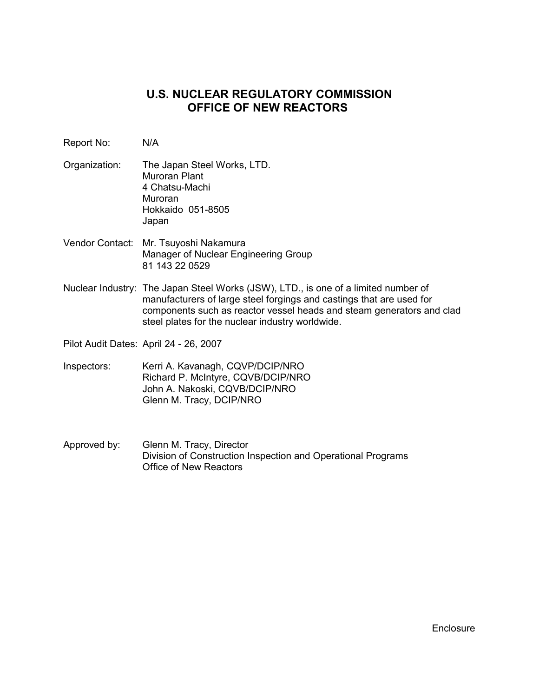# **U.S. NUCLEAR REGULATORY COMMISSION OFFICE OF NEW REACTORS**

- Report No: N/A
- Organization: The Japan Steel Works, LTD. Muroran Plant 4 Chatsu-Machi Muroran Hokkaido 051-8505 Japan
- Vendor Contact: Mr. Tsuyoshi Nakamura Manager of Nuclear Engineering Group 81 143 22 0529
- Nuclear Industry: The Japan Steel Works (JSW), LTD., is one of a limited number of manufacturers of large steel forgings and castings that are used for components such as reactor vessel heads and steam generators and clad steel plates for the nuclear industry worldwide.
- Pilot Audit Dates: April 24 26, 2007
- Inspectors: Kerri A. Kavanagh, CQVP/DCIP/NRO Richard P. McIntyre, CQVB/DCIP/NRO John A. Nakoski, CQVB/DCIP/NRO Glenn M. Tracy, DCIP/NRO
- Approved by: Glenn M. Tracy, Director Division of Construction Inspection and Operational Programs Office of New Reactors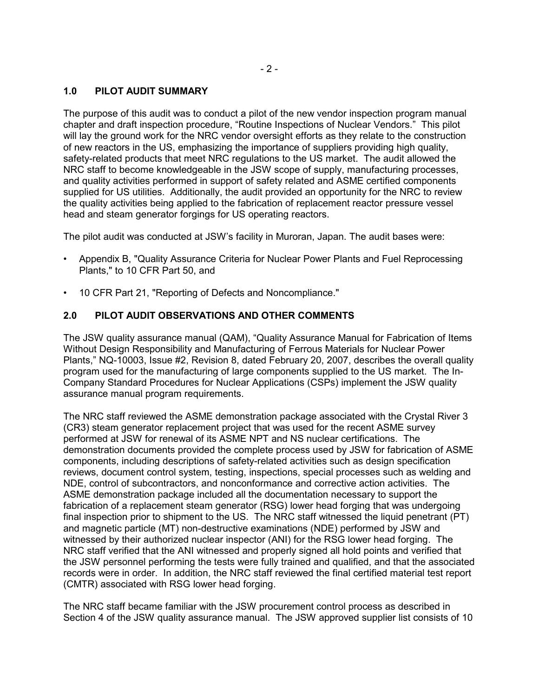#### **1.0 PILOT AUDIT SUMMARY**

The purpose of this audit was to conduct a pilot of the new vendor inspection program manual chapter and draft inspection procedure, "Routine Inspections of Nuclear Vendors." This pilot will lay the ground work for the NRC vendor oversight efforts as they relate to the construction of new reactors in the US, emphasizing the importance of suppliers providing high quality, safety-related products that meet NRC regulations to the US market. The audit allowed the NRC staff to become knowledgeable in the JSW scope of supply, manufacturing processes, and quality activities performed in support of safety related and ASME certified components supplied for US utilities. Additionally, the audit provided an opportunity for the NRC to review the quality activities being applied to the fabrication of replacement reactor pressure vessel head and steam generator forgings for US operating reactors.

The pilot audit was conducted at JSW's facility in Muroran, Japan. The audit bases were:

- Appendix B, "Quality Assurance Criteria for Nuclear Power Plants and Fuel Reprocessing Plants," to 10 CFR Part 50, and
- 10 CFR Part 21, "Reporting of Defects and Noncompliance."

#### **2.0 PILOT AUDIT OBSERVATIONS AND OTHER COMMENTS**

The JSW quality assurance manual (QAM), "Quality Assurance Manual for Fabrication of Items Without Design Responsibility and Manufacturing of Ferrous Materials for Nuclear Power Plants," NQ-10003, Issue #2, Revision 8, dated February 20, 2007, describes the overall quality program used for the manufacturing of large components supplied to the US market. The In-Company Standard Procedures for Nuclear Applications (CSPs) implement the JSW quality assurance manual program requirements.

The NRC staff reviewed the ASME demonstration package associated with the Crystal River 3 (CR3) steam generator replacement project that was used for the recent ASME survey performed at JSW for renewal of its ASME NPT and NS nuclear certifications. The demonstration documents provided the complete process used by JSW for fabrication of ASME components, including descriptions of safety-related activities such as design specification reviews, document control system, testing, inspections, special processes such as welding and NDE, control of subcontractors, and nonconformance and corrective action activities. The ASME demonstration package included all the documentation necessary to support the fabrication of a replacement steam generator (RSG) lower head forging that was undergoing final inspection prior to shipment to the US. The NRC staff witnessed the liquid penetrant (PT) and magnetic particle (MT) non-destructive examinations (NDE) performed by JSW and witnessed by their authorized nuclear inspector (ANI) for the RSG lower head forging. The NRC staff verified that the ANI witnessed and properly signed all hold points and verified that the JSW personnel performing the tests were fully trained and qualified, and that the associated records were in order. In addition, the NRC staff reviewed the final certified material test report (CMTR) associated with RSG lower head forging.

The NRC staff became familiar with the JSW procurement control process as described in Section 4 of the JSW quality assurance manual. The JSW approved supplier list consists of 10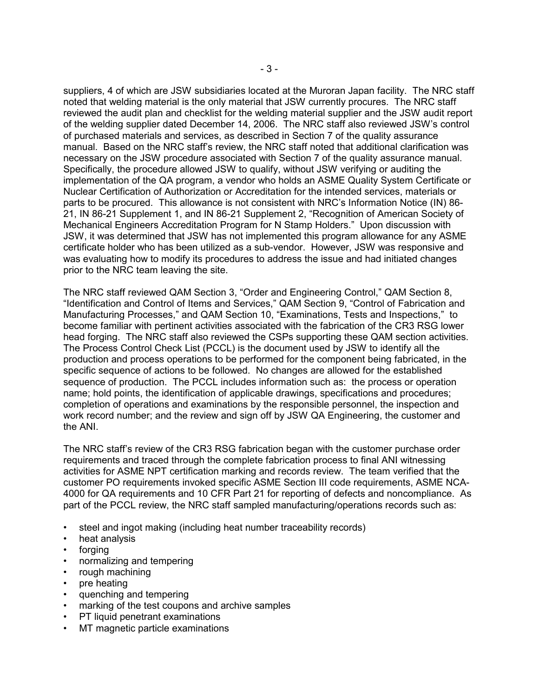suppliers, 4 of which are JSW subsidiaries located at the Muroran Japan facility. The NRC staff noted that welding material is the only material that JSW currently procures. The NRC staff reviewed the audit plan and checklist for the welding material supplier and the JSW audit report of the welding supplier dated December 14, 2006. The NRC staff also reviewed JSW's control of purchased materials and services, as described in Section 7 of the quality assurance manual. Based on the NRC staff's review, the NRC staff noted that additional clarification was necessary on the JSW procedure associated with Section 7 of the quality assurance manual. Specifically, the procedure allowed JSW to qualify, without JSW verifying or auditing the implementation of the QA program, a vendor who holds an ASME Quality System Certificate or Nuclear Certification of Authorization or Accreditation for the intended services, materials or parts to be procured. This allowance is not consistent with NRC's Information Notice (IN) 86- 21, IN 86-21 Supplement 1, and IN 86-21 Supplement 2, "Recognition of American Society of Mechanical Engineers Accreditation Program for N Stamp Holders." Upon discussion with JSW, it was determined that JSW has not implemented this program allowance for any ASME certificate holder who has been utilized as a sub-vendor. However, JSW was responsive and was evaluating how to modify its procedures to address the issue and had initiated changes prior to the NRC team leaving the site.

The NRC staff reviewed QAM Section 3, "Order and Engineering Control," QAM Section 8, "Identification and Control of Items and Services," QAM Section 9, "Control of Fabrication and Manufacturing Processes," and QAM Section 10, "Examinations, Tests and Inspections," to become familiar with pertinent activities associated with the fabrication of the CR3 RSG lower head forging. The NRC staff also reviewed the CSPs supporting these QAM section activities. The Process Control Check List (PCCL) is the document used by JSW to identify all the production and process operations to be performed for the component being fabricated, in the specific sequence of actions to be followed. No changes are allowed for the established sequence of production. The PCCL includes information such as: the process or operation name; hold points, the identification of applicable drawings, specifications and procedures; completion of operations and examinations by the responsible personnel, the inspection and work record number; and the review and sign off by JSW QA Engineering, the customer and the ANI.

The NRC staff's review of the CR3 RSG fabrication began with the customer purchase order requirements and traced through the complete fabrication process to final ANI witnessing activities for ASME NPT certification marking and records review. The team verified that the customer PO requirements invoked specific ASME Section III code requirements, ASME NCA-4000 for QA requirements and 10 CFR Part 21 for reporting of defects and noncompliance. As part of the PCCL review, the NRC staff sampled manufacturing/operations records such as:

- steel and ingot making (including heat number traceability records)
- heat analysis
- forging
- normalizing and tempering
- rough machining
- pre heating
- quenching and tempering
- marking of the test coupons and archive samples
- PT liquid penetrant examinations
- MT magnetic particle examinations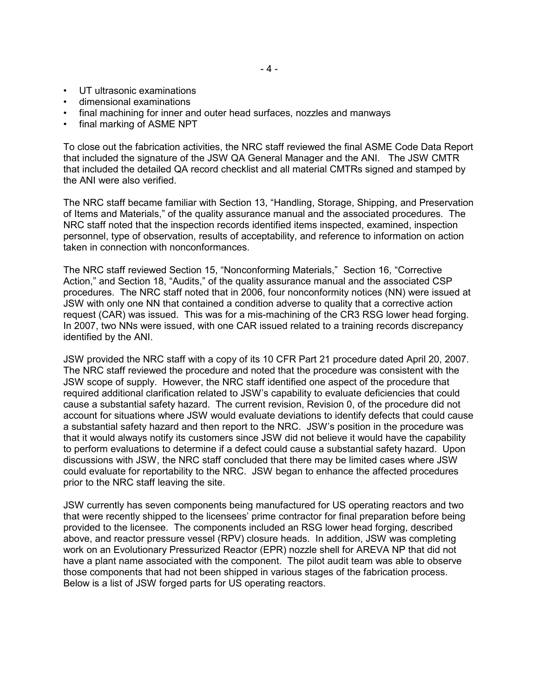- UT ultrasonic examinations
- dimensional examinations
- final machining for inner and outer head surfaces, nozzles and manways
- final marking of ASME NPT

To close out the fabrication activities, the NRC staff reviewed the final ASME Code Data Report that included the signature of the JSW QA General Manager and the ANI. The JSW CMTR that included the detailed QA record checklist and all material CMTRs signed and stamped by the ANI were also verified.

The NRC staff became familiar with Section 13, "Handling, Storage, Shipping, and Preservation of Items and Materials," of the quality assurance manual and the associated procedures. The NRC staff noted that the inspection records identified items inspected, examined, inspection personnel, type of observation, results of acceptability, and reference to information on action taken in connection with nonconformances.

The NRC staff reviewed Section 15, "Nonconforming Materials," Section 16, "Corrective Action," and Section 18, "Audits," of the quality assurance manual and the associated CSP procedures. The NRC staff noted that in 2006, four nonconformity notices (NN) were issued at JSW with only one NN that contained a condition adverse to quality that a corrective action request (CAR) was issued. This was for a mis-machining of the CR3 RSG lower head forging. In 2007, two NNs were issued, with one CAR issued related to a training records discrepancy identified by the ANI.

JSW provided the NRC staff with a copy of its 10 CFR Part 21 procedure dated April 20, 2007. The NRC staff reviewed the procedure and noted that the procedure was consistent with the JSW scope of supply. However, the NRC staff identified one aspect of the procedure that required additional clarification related to JSW's capability to evaluate deficiencies that could cause a substantial safety hazard. The current revision, Revision 0, of the procedure did not account for situations where JSW would evaluate deviations to identify defects that could cause a substantial safety hazard and then report to the NRC. JSW's position in the procedure was that it would always notify its customers since JSW did not believe it would have the capability to perform evaluations to determine if a defect could cause a substantial safety hazard. Upon discussions with JSW, the NRC staff concluded that there may be limited cases where JSW could evaluate for reportability to the NRC. JSW began to enhance the affected procedures prior to the NRC staff leaving the site.

JSW currently has seven components being manufactured for US operating reactors and two that were recently shipped to the licensees' prime contractor for final preparation before being provided to the licensee. The components included an RSG lower head forging, described above, and reactor pressure vessel (RPV) closure heads. In addition, JSW was completing work on an Evolutionary Pressurized Reactor (EPR) nozzle shell for AREVA NP that did not have a plant name associated with the component. The pilot audit team was able to observe those components that had not been shipped in various stages of the fabrication process. Below is a list of JSW forged parts for US operating reactors.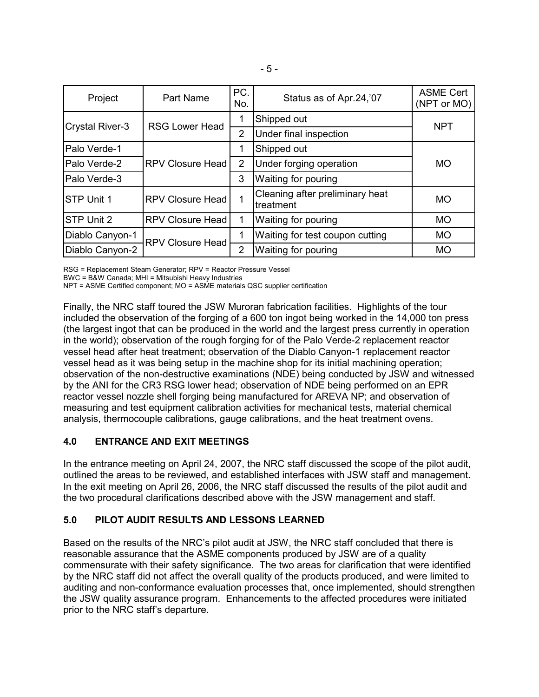| Project                | Part Name               | PC.<br>No.     | Status as of Apr.24,'07                      | <b>ASME Cert</b><br>(NPT or MO) |
|------------------------|-------------------------|----------------|----------------------------------------------|---------------------------------|
| <b>Crystal River-3</b> | <b>RSG Lower Head</b>   |                | Shipped out                                  | <b>NPT</b>                      |
|                        |                         | 2              | Under final inspection                       |                                 |
| <b>Palo Verde-1</b>    | <b>RPV Closure Head</b> |                | Shipped out                                  | <b>MO</b>                       |
| Palo Verde-2           |                         | $\overline{2}$ | Under forging operation                      |                                 |
| Palo Verde-3           |                         | 3              | Waiting for pouring                          |                                 |
| <b>STP Unit 1</b>      | <b>RPV Closure Head</b> | 1              | Cleaning after preliminary heat<br>treatment | <b>MO</b>                       |
| STP Unit 2             | <b>RPV Closure Head</b> | 1              | Waiting for pouring                          | <b>MO</b>                       |
| Diablo Canyon-1        | <b>RPV Closure Head</b> |                | Waiting for test coupon cutting              | <b>MO</b>                       |
| Diablo Canyon-2        |                         | $\overline{2}$ | Waiting for pouring                          | <b>MO</b>                       |

RSG = Replacement Steam Generator; RPV = Reactor Pressure Vessel

BWC = B&W Canada; MHI = Mitsubishi Heavy Industries

NPT = ASME Certified component; MO = ASME materials QSC supplier certification

Finally, the NRC staff toured the JSW Muroran fabrication facilities. Highlights of the tour included the observation of the forging of a 600 ton ingot being worked in the 14,000 ton press (the largest ingot that can be produced in the world and the largest press currently in operation in the world); observation of the rough forging for of the Palo Verde-2 replacement reactor vessel head after heat treatment; observation of the Diablo Canyon-1 replacement reactor vessel head as it was being setup in the machine shop for its initial machining operation; observation of the non-destructive examinations (NDE) being conducted by JSW and witnessed by the ANI for the CR3 RSG lower head; observation of NDE being performed on an EPR reactor vessel nozzle shell forging being manufactured for AREVA NP; and observation of measuring and test equipment calibration activities for mechanical tests, material chemical analysis, thermocouple calibrations, gauge calibrations, and the heat treatment ovens.

## **4.0 ENTRANCE AND EXIT MEETINGS**

In the entrance meeting on April 24, 2007, the NRC staff discussed the scope of the pilot audit, outlined the areas to be reviewed, and established interfaces with JSW staff and management. In the exit meeting on April 26, 2006, the NRC staff discussed the results of the pilot audit and the two procedural clarifications described above with the JSW management and staff.

## **5.0 PILOT AUDIT RESULTS AND LESSONS LEARNED**

Based on the results of the NRC's pilot audit at JSW, the NRC staff concluded that there is reasonable assurance that the ASME components produced by JSW are of a quality commensurate with their safety significance. The two areas for clarification that were identified by the NRC staff did not affect the overall quality of the products produced, and were limited to auditing and non-conformance evaluation processes that, once implemented, should strengthen the JSW quality assurance program. Enhancements to the affected procedures were initiated prior to the NRC staff's departure.